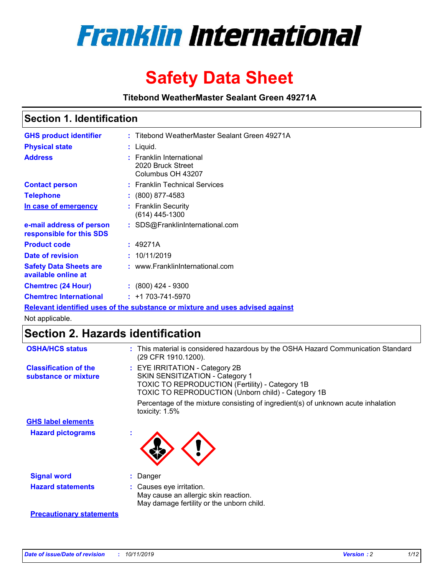

# **Safety Data Sheet**

**Titebond WeatherMaster Sealant Green 49271A**

### **Section 1. Identification**

| <b>GHS product identifier</b>                        | : Titebond WeatherMaster Sealant Green 49271A                                 |
|------------------------------------------------------|-------------------------------------------------------------------------------|
| <b>Physical state</b>                                | : Liquid.                                                                     |
| <b>Address</b>                                       | : Franklin International<br>2020 Bruck Street<br>Columbus OH 43207            |
| <b>Contact person</b>                                | : Franklin Technical Services                                                 |
| <b>Telephone</b>                                     | $\div$ (800) 877-4583                                                         |
| In case of emergency                                 | : Franklin Security<br>$(614)$ 445-1300                                       |
| e-mail address of person<br>responsible for this SDS | : SDS@FranklinInternational.com                                               |
| <b>Product code</b>                                  | : 49271A                                                                      |
| Date of revision                                     | : 10/11/2019                                                                  |
| <b>Safety Data Sheets are</b><br>available online at | : www.FranklinInternational.com                                               |
| <b>Chemtrec (24 Hour)</b>                            | $\div$ (800) 424 - 9300                                                       |
| <b>Chemtrec International</b>                        | $: +1703 - 741 - 5970$                                                        |
|                                                      | Relevant identified uses of the substance or mixture and uses advised against |

Not applicable.

## **Section 2. Hazards identification**

| <b>OSHA/HCS status</b>                               | : This material is considered hazardous by the OSHA Hazard Communication Standard<br>(29 CFR 1910.1200).                                                                                 |
|------------------------------------------------------|------------------------------------------------------------------------------------------------------------------------------------------------------------------------------------------|
| <b>Classification of the</b><br>substance or mixture | : EYE IRRITATION - Category 2B<br>SKIN SENSITIZATION - Category 1<br><b>TOXIC TO REPRODUCTION (Fertility) - Category 1B</b><br><b>TOXIC TO REPRODUCTION (Unborn child) - Category 1B</b> |
|                                                      | Percentage of the mixture consisting of ingredient(s) of unknown acute inhalation<br>toxicity: $1.5\%$                                                                                   |
| <b>GHS label elements</b>                            |                                                                                                                                                                                          |
| <b>Hazard pictograms</b>                             |                                                                                                                                                                                          |
| <b>Signal word</b>                                   | : Danger                                                                                                                                                                                 |
| <b>Hazard statements</b>                             | : Causes eye irritation.<br>May cause an allergic skin reaction.<br>May damage fertility or the unborn child.                                                                            |
| <b>Precautionary statements</b>                      |                                                                                                                                                                                          |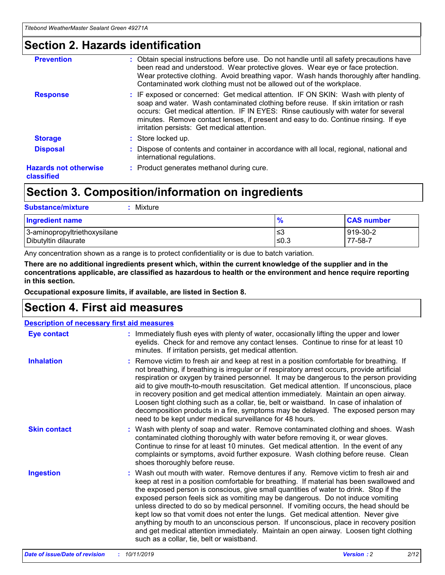### **Section 2. Hazards identification**

| <b>Prevention</b>                          | : Obtain special instructions before use. Do not handle until all safety precautions have<br>been read and understood. Wear protective gloves. Wear eye or face protection.<br>Wear protective clothing. Avoid breathing vapor. Wash hands thoroughly after handling.<br>Contaminated work clothing must not be allowed out of the workplace.                                                        |
|--------------------------------------------|------------------------------------------------------------------------------------------------------------------------------------------------------------------------------------------------------------------------------------------------------------------------------------------------------------------------------------------------------------------------------------------------------|
| <b>Response</b>                            | : IF exposed or concerned: Get medical attention. IF ON SKIN: Wash with plenty of<br>soap and water. Wash contaminated clothing before reuse. If skin irritation or rash<br>occurs: Get medical attention. IF IN EYES: Rinse cautiously with water for several<br>minutes. Remove contact lenses, if present and easy to do. Continue rinsing. If eye<br>irritation persists: Get medical attention. |
| <b>Storage</b>                             | : Store locked up.                                                                                                                                                                                                                                                                                                                                                                                   |
| <b>Disposal</b>                            | : Dispose of contents and container in accordance with all local, regional, national and<br>international regulations.                                                                                                                                                                                                                                                                               |
| <b>Hazards not otherwise</b><br>classified | : Product generates methanol during cure.                                                                                                                                                                                                                                                                                                                                                            |
|                                            |                                                                                                                                                                                                                                                                                                                                                                                                      |

### **Section 3. Composition/information on ingredients**

| <b>Substance/mixture</b><br>Mixture                  |               |                     |
|------------------------------------------------------|---------------|---------------------|
| <b>Ingredient name</b>                               | $\frac{9}{6}$ | <b>CAS number</b>   |
| 3-aminopropyltriethoxysilane<br>Dibutyltin dilaurate | ≤3<br>$≤0.3$  | 919-30-2<br>77-58-7 |

Any concentration shown as a range is to protect confidentiality or is due to batch variation.

**There are no additional ingredients present which, within the current knowledge of the supplier and in the concentrations applicable, are classified as hazardous to health or the environment and hence require reporting in this section.**

**Occupational exposure limits, if available, are listed in Section 8.**

### **Section 4. First aid measures**

| <b>Description of necessary first aid measures</b> |                                                                                                                                                                                                                                                                                                                                                                                                                                                                                                                                                                                                                                                                                                                                                                           |  |  |  |
|----------------------------------------------------|---------------------------------------------------------------------------------------------------------------------------------------------------------------------------------------------------------------------------------------------------------------------------------------------------------------------------------------------------------------------------------------------------------------------------------------------------------------------------------------------------------------------------------------------------------------------------------------------------------------------------------------------------------------------------------------------------------------------------------------------------------------------------|--|--|--|
| <b>Eye contact</b>                                 | : Immediately flush eyes with plenty of water, occasionally lifting the upper and lower<br>eyelids. Check for and remove any contact lenses. Continue to rinse for at least 10<br>minutes. If irritation persists, get medical attention.                                                                                                                                                                                                                                                                                                                                                                                                                                                                                                                                 |  |  |  |
| <b>Inhalation</b>                                  | : Remove victim to fresh air and keep at rest in a position comfortable for breathing. If<br>not breathing, if breathing is irregular or if respiratory arrest occurs, provide artificial<br>respiration or oxygen by trained personnel. It may be dangerous to the person providing<br>aid to give mouth-to-mouth resuscitation. Get medical attention. If unconscious, place<br>in recovery position and get medical attention immediately. Maintain an open airway.<br>Loosen tight clothing such as a collar, tie, belt or waistband. In case of inhalation of<br>decomposition products in a fire, symptoms may be delayed. The exposed person may<br>need to be kept under medical surveillance for 48 hours.                                                       |  |  |  |
| <b>Skin contact</b>                                | : Wash with plenty of soap and water. Remove contaminated clothing and shoes. Wash<br>contaminated clothing thoroughly with water before removing it, or wear gloves.<br>Continue to rinse for at least 10 minutes. Get medical attention. In the event of any<br>complaints or symptoms, avoid further exposure. Wash clothing before reuse. Clean<br>shoes thoroughly before reuse.                                                                                                                                                                                                                                                                                                                                                                                     |  |  |  |
| <b>Ingestion</b>                                   | : Wash out mouth with water. Remove dentures if any. Remove victim to fresh air and<br>keep at rest in a position comfortable for breathing. If material has been swallowed and<br>the exposed person is conscious, give small quantities of water to drink. Stop if the<br>exposed person feels sick as vomiting may be dangerous. Do not induce vomiting<br>unless directed to do so by medical personnel. If vomiting occurs, the head should be<br>kept low so that vomit does not enter the lungs. Get medical attention. Never give<br>anything by mouth to an unconscious person. If unconscious, place in recovery position<br>and get medical attention immediately. Maintain an open airway. Loosen tight clothing<br>such as a collar, tie, belt or waistband. |  |  |  |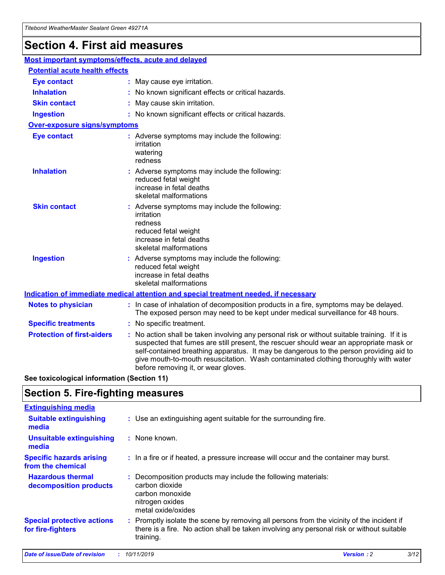## **Section 4. First aid measures**

| Most important symptoms/effects, acute and delayed |                                       |                                                                                                                                                                                                                                                                                                                                                                                                                 |  |  |  |
|----------------------------------------------------|---------------------------------------|-----------------------------------------------------------------------------------------------------------------------------------------------------------------------------------------------------------------------------------------------------------------------------------------------------------------------------------------------------------------------------------------------------------------|--|--|--|
|                                                    | <b>Potential acute health effects</b> |                                                                                                                                                                                                                                                                                                                                                                                                                 |  |  |  |
| <b>Eye contact</b>                                 |                                       | : May cause eye irritation.                                                                                                                                                                                                                                                                                                                                                                                     |  |  |  |
| <b>Inhalation</b>                                  |                                       | : No known significant effects or critical hazards.                                                                                                                                                                                                                                                                                                                                                             |  |  |  |
| <b>Skin contact</b>                                |                                       | : May cause skin irritation.                                                                                                                                                                                                                                                                                                                                                                                    |  |  |  |
| <b>Ingestion</b>                                   |                                       | : No known significant effects or critical hazards.                                                                                                                                                                                                                                                                                                                                                             |  |  |  |
| <b>Over-exposure signs/symptoms</b>                |                                       |                                                                                                                                                                                                                                                                                                                                                                                                                 |  |  |  |
| <b>Eye contact</b>                                 |                                       | : Adverse symptoms may include the following:<br>irritation<br>watering<br>redness                                                                                                                                                                                                                                                                                                                              |  |  |  |
| <b>Inhalation</b>                                  |                                       | : Adverse symptoms may include the following:<br>reduced fetal weight<br>increase in fetal deaths<br>skeletal malformations                                                                                                                                                                                                                                                                                     |  |  |  |
| <b>Skin contact</b>                                |                                       | : Adverse symptoms may include the following:<br>irritation<br>redness<br>reduced fetal weight<br>increase in fetal deaths<br>skeletal malformations                                                                                                                                                                                                                                                            |  |  |  |
| <b>Ingestion</b>                                   |                                       | : Adverse symptoms may include the following:<br>reduced fetal weight<br>increase in fetal deaths<br>skeletal malformations                                                                                                                                                                                                                                                                                     |  |  |  |
|                                                    |                                       | <b>Indication of immediate medical attention and special treatment needed, if necessary</b>                                                                                                                                                                                                                                                                                                                     |  |  |  |
| <b>Notes to physician</b>                          |                                       | : In case of inhalation of decomposition products in a fire, symptoms may be delayed.<br>The exposed person may need to be kept under medical surveillance for 48 hours.                                                                                                                                                                                                                                        |  |  |  |
| <b>Specific treatments</b>                         |                                       | : No specific treatment.                                                                                                                                                                                                                                                                                                                                                                                        |  |  |  |
| <b>Protection of first-aiders</b>                  |                                       | : No action shall be taken involving any personal risk or without suitable training. If it is<br>suspected that fumes are still present, the rescuer should wear an appropriate mask or<br>self-contained breathing apparatus. It may be dangerous to the person providing aid to<br>give mouth-to-mouth resuscitation. Wash contaminated clothing thoroughly with water<br>before removing it, or wear gloves. |  |  |  |

**See toxicological information (Section 11)**

### **Section 5. Fire-fighting measures**

| <b>Extinguishing media</b>                             |                                                                                                                                                                                                     |
|--------------------------------------------------------|-----------------------------------------------------------------------------------------------------------------------------------------------------------------------------------------------------|
| <b>Suitable extinguishing</b><br>media                 | : Use an extinguishing agent suitable for the surrounding fire.                                                                                                                                     |
| <b>Unsuitable extinguishing</b><br>media               | : None known.                                                                                                                                                                                       |
| <b>Specific hazards arising</b><br>from the chemical   | : In a fire or if heated, a pressure increase will occur and the container may burst.                                                                                                               |
| <b>Hazardous thermal</b><br>decomposition products     | : Decomposition products may include the following materials:<br>carbon dioxide<br>carbon monoxide<br>nitrogen oxides<br>metal oxide/oxides                                                         |
| <b>Special protective actions</b><br>for fire-fighters | : Promptly isolate the scene by removing all persons from the vicinity of the incident if<br>there is a fire. No action shall be taken involving any personal risk or without suitable<br>training. |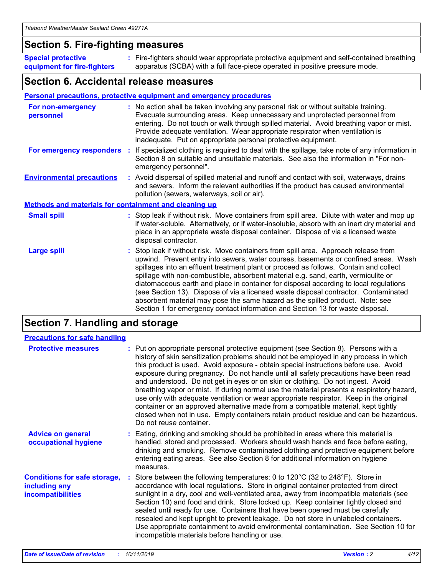### **Section 5. Fire-fighting measures**

**Special protective equipment for fire-fighters** Fire-fighters should wear appropriate protective equipment and self-contained breathing **:** apparatus (SCBA) with a full face-piece operated in positive pressure mode.

### **Section 6. Accidental release measures**

#### **Personal precautions, protective equipment and emergency procedures**

| For non-emergency<br>personnel                               | : No action shall be taken involving any personal risk or without suitable training.<br>Evacuate surrounding areas. Keep unnecessary and unprotected personnel from<br>entering. Do not touch or walk through spilled material. Avoid breathing vapor or mist.<br>Provide adequate ventilation. Wear appropriate respirator when ventilation is<br>inadequate. Put on appropriate personal protective equipment.                                                                                                                                                                                                                                                                                             |
|--------------------------------------------------------------|--------------------------------------------------------------------------------------------------------------------------------------------------------------------------------------------------------------------------------------------------------------------------------------------------------------------------------------------------------------------------------------------------------------------------------------------------------------------------------------------------------------------------------------------------------------------------------------------------------------------------------------------------------------------------------------------------------------|
|                                                              | For emergency responders : If specialized clothing is required to deal with the spillage, take note of any information in<br>Section 8 on suitable and unsuitable materials. See also the information in "For non-<br>emergency personnel".                                                                                                                                                                                                                                                                                                                                                                                                                                                                  |
| <b>Environmental precautions</b>                             | : Avoid dispersal of spilled material and runoff and contact with soil, waterways, drains<br>and sewers. Inform the relevant authorities if the product has caused environmental<br>pollution (sewers, waterways, soil or air).                                                                                                                                                                                                                                                                                                                                                                                                                                                                              |
| <b>Methods and materials for containment and cleaning up</b> |                                                                                                                                                                                                                                                                                                                                                                                                                                                                                                                                                                                                                                                                                                              |
| <b>Small spill</b>                                           | : Stop leak if without risk. Move containers from spill area. Dilute with water and mop up<br>if water-soluble. Alternatively, or if water-insoluble, absorb with an inert dry material and<br>place in an appropriate waste disposal container. Dispose of via a licensed waste<br>disposal contractor.                                                                                                                                                                                                                                                                                                                                                                                                     |
| <b>Large spill</b>                                           | : Stop leak if without risk. Move containers from spill area. Approach release from<br>upwind. Prevent entry into sewers, water courses, basements or confined areas. Wash<br>spillages into an effluent treatment plant or proceed as follows. Contain and collect<br>spillage with non-combustible, absorbent material e.g. sand, earth, vermiculite or<br>diatomaceous earth and place in container for disposal according to local regulations<br>(see Section 13). Dispose of via a licensed waste disposal contractor. Contaminated<br>absorbent material may pose the same hazard as the spilled product. Note: see<br>Section 1 for emergency contact information and Section 13 for waste disposal. |

### **Section 7. Handling and storage**

| <b>Precautions for safe handling</b>                                             |                                                                                                                                                                                                                                                                                                                                                                                                                                                                                                                                                                                                                                                                                                                                                                                                                                                  |
|----------------------------------------------------------------------------------|--------------------------------------------------------------------------------------------------------------------------------------------------------------------------------------------------------------------------------------------------------------------------------------------------------------------------------------------------------------------------------------------------------------------------------------------------------------------------------------------------------------------------------------------------------------------------------------------------------------------------------------------------------------------------------------------------------------------------------------------------------------------------------------------------------------------------------------------------|
| <b>Protective measures</b>                                                       | : Put on appropriate personal protective equipment (see Section 8). Persons with a<br>history of skin sensitization problems should not be employed in any process in which<br>this product is used. Avoid exposure - obtain special instructions before use. Avoid<br>exposure during pregnancy. Do not handle until all safety precautions have been read<br>and understood. Do not get in eyes or on skin or clothing. Do not ingest. Avoid<br>breathing vapor or mist. If during normal use the material presents a respiratory hazard,<br>use only with adequate ventilation or wear appropriate respirator. Keep in the original<br>container or an approved alternative made from a compatible material, kept tightly<br>closed when not in use. Empty containers retain product residue and can be hazardous.<br>Do not reuse container. |
| <b>Advice on general</b><br>occupational hygiene                                 | : Eating, drinking and smoking should be prohibited in areas where this material is<br>handled, stored and processed. Workers should wash hands and face before eating,<br>drinking and smoking. Remove contaminated clothing and protective equipment before<br>entering eating areas. See also Section 8 for additional information on hygiene<br>measures.                                                                                                                                                                                                                                                                                                                                                                                                                                                                                    |
| <b>Conditions for safe storage,</b><br>including any<br><b>incompatibilities</b> | : Store between the following temperatures: 0 to 120 $\degree$ C (32 to 248 $\degree$ F). Store in<br>accordance with local regulations. Store in original container protected from direct<br>sunlight in a dry, cool and well-ventilated area, away from incompatible materials (see<br>Section 10) and food and drink. Store locked up. Keep container tightly closed and<br>sealed until ready for use. Containers that have been opened must be carefully<br>resealed and kept upright to prevent leakage. Do not store in unlabeled containers.<br>Use appropriate containment to avoid environmental contamination. See Section 10 for<br>incompatible materials before handling or use.                                                                                                                                                   |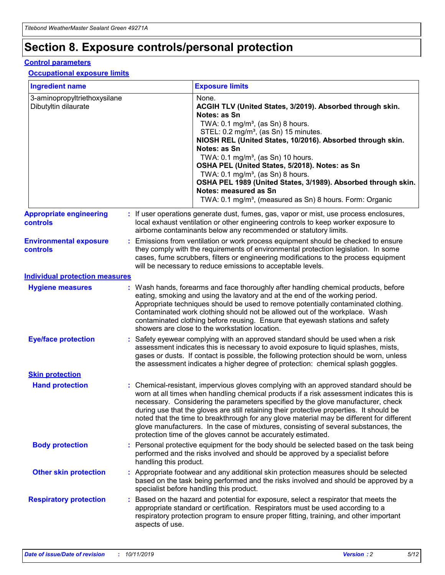## **Section 8. Exposure controls/personal protection**

#### **Control parameters**

#### **Occupational exposure limits**

| <b>Ingredient name</b>                               |    |                        | <b>Exposure limits</b>                                                                                                                                                                                                                                                                                                                                                                                                                                                                                                                                                                                                 |
|------------------------------------------------------|----|------------------------|------------------------------------------------------------------------------------------------------------------------------------------------------------------------------------------------------------------------------------------------------------------------------------------------------------------------------------------------------------------------------------------------------------------------------------------------------------------------------------------------------------------------------------------------------------------------------------------------------------------------|
| 3-aminopropyltriethoxysilane<br>Dibutyltin dilaurate |    |                        | None.<br>ACGIH TLV (United States, 3/2019). Absorbed through skin.<br>Notes: as Sn<br>TWA: $0.1 \text{ mg/m}^3$ , (as Sn) 8 hours.<br>STEL: 0.2 mg/m <sup>3</sup> , (as Sn) 15 minutes.<br>NIOSH REL (United States, 10/2016). Absorbed through skin.<br>Notes: as Sn<br>TWA: 0.1 mg/m <sup>3</sup> , (as Sn) 10 hours.<br>OSHA PEL (United States, 5/2018). Notes: as Sn<br>TWA: 0.1 mg/m <sup>3</sup> , (as Sn) 8 hours.<br>OSHA PEL 1989 (United States, 3/1989). Absorbed through skin.<br>Notes: measured as Sn<br>TWA: 0.1 mg/m <sup>3</sup> , (measured as Sn) 8 hours. Form: Organic                           |
| <b>Appropriate engineering</b><br>controls           |    |                        | : If user operations generate dust, fumes, gas, vapor or mist, use process enclosures,<br>local exhaust ventilation or other engineering controls to keep worker exposure to<br>airborne contaminants below any recommended or statutory limits.                                                                                                                                                                                                                                                                                                                                                                       |
| <b>Environmental exposure</b><br>controls            |    |                        | Emissions from ventilation or work process equipment should be checked to ensure<br>they comply with the requirements of environmental protection legislation. In some<br>cases, fume scrubbers, filters or engineering modifications to the process equipment<br>will be necessary to reduce emissions to acceptable levels.                                                                                                                                                                                                                                                                                          |
| <b>Individual protection measures</b>                |    |                        |                                                                                                                                                                                                                                                                                                                                                                                                                                                                                                                                                                                                                        |
| <b>Hygiene measures</b>                              |    |                        | : Wash hands, forearms and face thoroughly after handling chemical products, before<br>eating, smoking and using the lavatory and at the end of the working period.<br>Appropriate techniques should be used to remove potentially contaminated clothing.<br>Contaminated work clothing should not be allowed out of the workplace. Wash<br>contaminated clothing before reusing. Ensure that eyewash stations and safety<br>showers are close to the workstation location.                                                                                                                                            |
| <b>Eye/face protection</b>                           |    |                        | Safety eyewear complying with an approved standard should be used when a risk<br>assessment indicates this is necessary to avoid exposure to liquid splashes, mists,<br>gases or dusts. If contact is possible, the following protection should be worn, unless<br>the assessment indicates a higher degree of protection: chemical splash goggles.                                                                                                                                                                                                                                                                    |
| <b>Skin protection</b>                               |    |                        |                                                                                                                                                                                                                                                                                                                                                                                                                                                                                                                                                                                                                        |
| <b>Hand protection</b>                               |    |                        | : Chemical-resistant, impervious gloves complying with an approved standard should be<br>worn at all times when handling chemical products if a risk assessment indicates this is<br>necessary. Considering the parameters specified by the glove manufacturer, check<br>during use that the gloves are still retaining their protective properties. It should be<br>noted that the time to breakthrough for any glove material may be different for different<br>glove manufacturers. In the case of mixtures, consisting of several substances, the<br>protection time of the gloves cannot be accurately estimated. |
| <b>Body protection</b>                               |    | handling this product. | Personal protective equipment for the body should be selected based on the task being<br>performed and the risks involved and should be approved by a specialist before                                                                                                                                                                                                                                                                                                                                                                                                                                                |
| <b>Other skin protection</b>                         |    |                        | : Appropriate footwear and any additional skin protection measures should be selected<br>based on the task being performed and the risks involved and should be approved by a<br>specialist before handling this product.                                                                                                                                                                                                                                                                                                                                                                                              |
| <b>Respiratory protection</b>                        | ÷. | aspects of use.        | Based on the hazard and potential for exposure, select a respirator that meets the<br>appropriate standard or certification. Respirators must be used according to a<br>respiratory protection program to ensure proper fitting, training, and other important                                                                                                                                                                                                                                                                                                                                                         |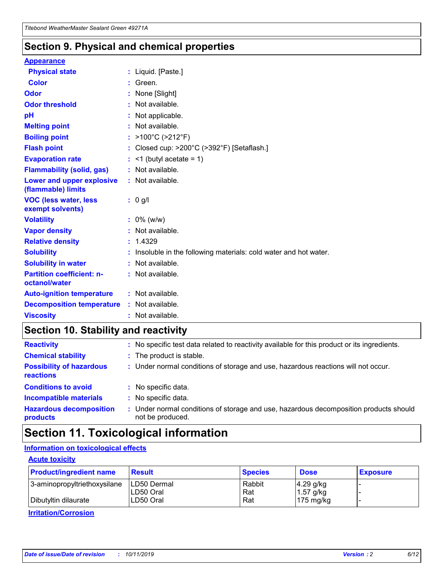### **Section 9. Physical and chemical properties**

#### **Appearance**

| <b>Physical state</b>                             | : Liquid. [Paste.]                                              |
|---------------------------------------------------|-----------------------------------------------------------------|
| Color                                             | Green.                                                          |
| Odor                                              | : None [Slight]                                                 |
| <b>Odor threshold</b>                             | : Not available.                                                |
| рH                                                | : Not applicable.                                               |
| <b>Melting point</b>                              | : Not available.                                                |
| <b>Boiling point</b>                              | : >100°C (>212°F)                                               |
| <b>Flash point</b>                                | : Closed cup: $>200^{\circ}$ C ( $>392^{\circ}$ F) [Setaflash.] |
| <b>Evaporation rate</b>                           | $:$ <1 (butyl acetate = 1)                                      |
| <b>Flammability (solid, gas)</b>                  | : Not available.                                                |
| Lower and upper explosive<br>(flammable) limits   | : Not available.                                                |
| <b>VOC (less water, less</b><br>exempt solvents)  | : 0 g/l                                                         |
| <b>Volatility</b>                                 | $: 0\%$ (w/w)                                                   |
| <b>Vapor density</b>                              | : Not available.                                                |
| <b>Relative density</b>                           | : 1.4329                                                        |
| <b>Solubility</b>                                 | Insoluble in the following materials: cold water and hot water. |
| <b>Solubility in water</b>                        | : Not available.                                                |
| <b>Partition coefficient: n-</b><br>octanol/water | $:$ Not available.                                              |
| <b>Auto-ignition temperature</b>                  | : Not available.                                                |
| <b>Decomposition temperature</b>                  | : Not available.                                                |
|                                                   |                                                                 |

### **Section 10. Stability and reactivity**

| <b>Reactivity</b>                            |    | : No specific test data related to reactivity available for this product or its ingredients.            |
|----------------------------------------------|----|---------------------------------------------------------------------------------------------------------|
| <b>Chemical stability</b>                    |    | : The product is stable.                                                                                |
| <b>Possibility of hazardous</b><br>reactions |    | : Under normal conditions of storage and use, hazardous reactions will not occur.                       |
| <b>Conditions to avoid</b>                   |    | : No specific data.                                                                                     |
| <b>Incompatible materials</b>                | ٠. | No specific data.                                                                                       |
| <b>Hazardous decomposition</b><br>products   | ÷. | Under normal conditions of storage and use, hazardous decomposition products should<br>not be produced. |

### **Section 11. Toxicological information**

### **Information on toxicological effects**

#### **Acute toxicity**

| <b>Product/ingredient name</b> | <b>Result</b>           | <b>Species</b> | <b>Dose</b>                | <b>Exposure</b> |
|--------------------------------|-------------------------|----------------|----------------------------|-----------------|
| 3-aminopropyltriethoxysilane   | <b>ILD50 Dermal</b>     | Rabbit         | 4.29 g/kg                  |                 |
| Dibutyltin dilaurate           | ILD50 Oral<br>LD50 Oral | Rat<br>Rat     | $1.57$ g/kg<br>175 $mg/kg$ |                 |
|                                |                         |                |                            |                 |

**Irritation/Corrosion**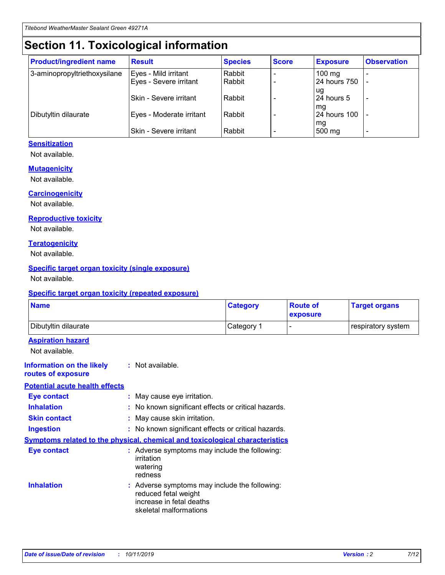## **Section 11. Toxicological information**

| <b>Product/ingredient name</b> | <b>Result</b>            | <b>Species</b> | <b>Score</b> | <b>Exposure</b>           | <b>Observation</b> |
|--------------------------------|--------------------------|----------------|--------------|---------------------------|--------------------|
| 3-aminopropyltriethoxysilane   | Eyes - Mild irritant     | Rabbit         |              | $100$ mg                  |                    |
|                                | Eyes - Severe irritant   | Rabbit         |              | 24 hours 750              |                    |
|                                |                          |                |              | ug                        |                    |
|                                | Skin - Severe irritant   | Rabbit         |              | 24 hours 5                | -                  |
| Dibutyltin dilaurate           | Eyes - Moderate irritant | Rabbit         |              | mq<br><b>24 hours 100</b> |                    |
|                                |                          |                |              | mg                        |                    |
|                                | Skin - Severe irritant   | Rabbit         |              | 500 mg                    |                    |

#### **Sensitization**

Not available.

#### **Mutagenicity**

Not available.

#### **Carcinogenicity**

Not available.

#### **Reproductive toxicity**

Not available.

#### **Teratogenicity**

Not available.

#### **Specific target organ toxicity (single exposure)**

Not available.

#### **Specific target organ toxicity (repeated exposure)**

| <b>Name</b>                                                                  |                                                                                                                             | <b>Category</b> | <b>Route of</b><br>exposure  | <b>Target organs</b> |
|------------------------------------------------------------------------------|-----------------------------------------------------------------------------------------------------------------------------|-----------------|------------------------------|----------------------|
| Dibutyltin dilaurate                                                         |                                                                                                                             | Category 1      | $\qquad \qquad \blacksquare$ | respiratory system   |
| <b>Aspiration hazard</b><br>Not available.                                   |                                                                                                                             |                 |                              |                      |
| <b>Information on the likely</b><br>routes of exposure                       | : Not available.                                                                                                            |                 |                              |                      |
| <b>Potential acute health effects</b>                                        |                                                                                                                             |                 |                              |                      |
| <b>Eye contact</b>                                                           | : May cause eye irritation.                                                                                                 |                 |                              |                      |
| <b>Inhalation</b>                                                            | : No known significant effects or critical hazards.                                                                         |                 |                              |                      |
| <b>Skin contact</b>                                                          | : May cause skin irritation.                                                                                                |                 |                              |                      |
| <b>Ingestion</b>                                                             | : No known significant effects or critical hazards.                                                                         |                 |                              |                      |
| Symptoms related to the physical, chemical and toxicological characteristics |                                                                                                                             |                 |                              |                      |
| <b>Eye contact</b>                                                           | : Adverse symptoms may include the following:<br>irritation<br>watering<br>redness                                          |                 |                              |                      |
| <b>Inhalation</b>                                                            | : Adverse symptoms may include the following:<br>reduced fetal weight<br>increase in fetal deaths<br>skeletal malformations |                 |                              |                      |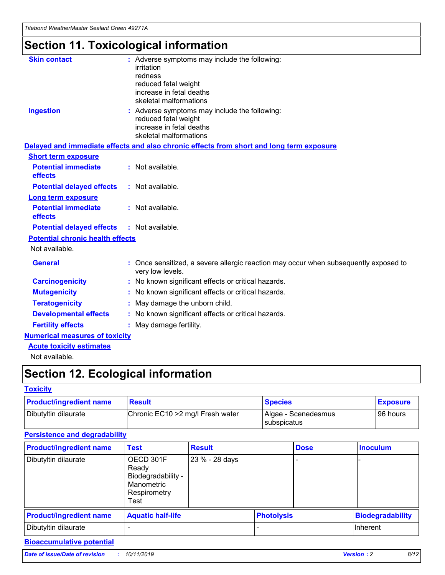*Titebond WeatherMaster Sealant Green 49271A*

## **Section 11. Toxicological information**

| <b>Skin contact</b>                     | : Adverse symptoms may include the following:<br>irritation<br>redness<br>reduced fetal weight<br>increase in fetal deaths<br>skeletal malformations |  |
|-----------------------------------------|------------------------------------------------------------------------------------------------------------------------------------------------------|--|
| <b>Ingestion</b>                        | : Adverse symptoms may include the following:<br>reduced fetal weight<br>increase in fetal deaths<br>skeletal malformations                          |  |
|                                         | Delayed and immediate effects and also chronic effects from short and long term exposure                                                             |  |
| <b>Short term exposure</b>              |                                                                                                                                                      |  |
| <b>Potential immediate</b><br>effects   | : Not available.                                                                                                                                     |  |
| <b>Potential delayed effects</b>        | : Not available.                                                                                                                                     |  |
| <b>Long term exposure</b>               |                                                                                                                                                      |  |
| <b>Potential immediate</b><br>effects   | : Not available.                                                                                                                                     |  |
| <b>Potential delayed effects</b>        | : Not available.                                                                                                                                     |  |
| <b>Potential chronic health effects</b> |                                                                                                                                                      |  |
| Not available.                          |                                                                                                                                                      |  |
| <b>General</b>                          | : Once sensitized, a severe allergic reaction may occur when subsequently exposed to<br>very low levels.                                             |  |
| <b>Carcinogenicity</b>                  | : No known significant effects or critical hazards.                                                                                                  |  |
| <b>Mutagenicity</b>                     | : No known significant effects or critical hazards.                                                                                                  |  |
| <b>Teratogenicity</b>                   | May damage the unborn child.                                                                                                                         |  |
| <b>Developmental effects</b>            | : No known significant effects or critical hazards.                                                                                                  |  |
| <b>Fertility effects</b>                | May damage fertility.                                                                                                                                |  |
| <b>Numerical measures of toxicity</b>   |                                                                                                                                                      |  |
| <b>Acute toxicity estimates</b>         |                                                                                                                                                      |  |
| الملحلة والمستحقق فالمرابط              |                                                                                                                                                      |  |

Not available.

## **Section 12. Ecological information**

#### **Toxicity**

| <b>Product/ingredient name</b> | <b>Result</b>                     | <b>Species</b>                       | <b>Exposure</b> |
|--------------------------------|-----------------------------------|--------------------------------------|-----------------|
| Dibutyltin dilaurate           | Chronic EC10 > 2 mg/l Fresh water | Algae - Scenedesmus<br>I subspicatus | l 96 hours i    |

### **Persistence and degradability**

| <b>Product/ingredient name</b> | <b>Test</b>                                                                    | <b>Result</b>  |                   | <b>Dose</b> | <b>Inoculum</b>         |
|--------------------------------|--------------------------------------------------------------------------------|----------------|-------------------|-------------|-------------------------|
| Dibutyltin dilaurate           | OECD 301F<br>Ready<br>Biodegradability -<br>Manometric<br>Respirometry<br>Test | 23 % - 28 days |                   |             |                         |
| <b>Product/ingredient name</b> | <b>Aquatic half-life</b>                                                       |                | <b>Photolysis</b> |             | <b>Biodegradability</b> |
| Dibutyltin dilaurate           |                                                                                |                |                   |             | Inherent                |

### **Bioaccumulative potential**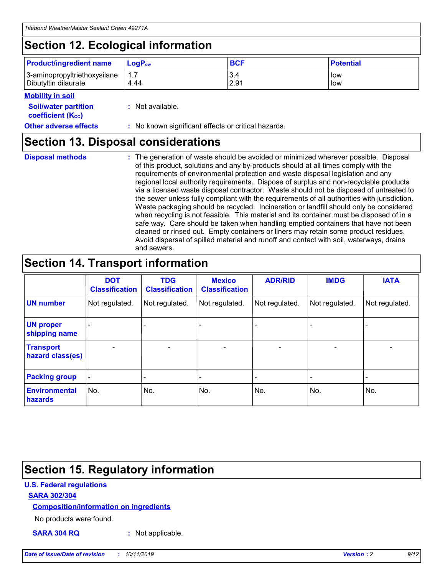## **Section 12. Ecological information**

| <b>Product/ingredient name</b>                       | ∣LoqP <sub>ow</sub> | <b>BCF</b>  | <b>Potential</b> |
|------------------------------------------------------|---------------------|-------------|------------------|
| 3-aminopropyltriethoxysilane<br>Dibutyltin dilaurate | 4.44                | 3.4<br>2.91 | low<br>low       |

#### **Mobility in soil**

| <i></i>                                                       |                                                     |
|---------------------------------------------------------------|-----------------------------------------------------|
| <b>Soil/water partition</b><br>coefficient (K <sub>oc</sub> ) | : Not available.                                    |
| <b>Other adverse effects</b>                                  | : No known significant effects or critical hazards. |

### **Section 13. Disposal considerations**

|  | <b>Disposal methods</b> |  |
|--|-------------------------|--|

**Disposal methods** : The generation of waste should be avoided or minimized wherever possible. Disposal of this product, solutions and any by-products should at all times comply with the requirements of environmental protection and waste disposal legislation and any regional local authority requirements. Dispose of surplus and non-recyclable products via a licensed waste disposal contractor. Waste should not be disposed of untreated to the sewer unless fully compliant with the requirements of all authorities with jurisdiction. Waste packaging should be recycled. Incineration or landfill should only be considered when recycling is not feasible. This material and its container must be disposed of in a safe way. Care should be taken when handling emptied containers that have not been cleaned or rinsed out. Empty containers or liners may retain some product residues. Avoid dispersal of spilled material and runoff and contact with soil, waterways, drains and sewers.

## **Section 14. Transport information**

|                                      | <b>DOT</b><br><b>Classification</b> | <b>TDG</b><br><b>Classification</b> | <b>Mexico</b><br><b>Classification</b> | <b>ADR/RID</b>           | <b>IMDG</b>              | <b>IATA</b>              |
|--------------------------------------|-------------------------------------|-------------------------------------|----------------------------------------|--------------------------|--------------------------|--------------------------|
| <b>UN number</b>                     | Not regulated.                      | Not regulated.                      | Not regulated.                         | Not regulated.           | Not regulated.           | Not regulated.           |
| <b>UN proper</b><br>shipping name    | $\qquad \qquad \blacksquare$        |                                     |                                        |                          |                          |                          |
| <b>Transport</b><br>hazard class(es) | $\blacksquare$                      | $\blacksquare$                      | $\blacksquare$                         | $\overline{\phantom{a}}$ | $\blacksquare$           | $\blacksquare$           |
| <b>Packing group</b>                 | $\overline{\phantom{a}}$            | $\overline{\phantom{0}}$            | $\overline{\phantom{0}}$               | -                        | $\overline{\phantom{0}}$ | $\overline{\phantom{a}}$ |
| <b>Environmental</b><br>hazards      | No.                                 | No.                                 | No.                                    | No.                      | No.                      | No.                      |

## **Section 15. Regulatory information**

#### **U.S. Federal regulations**

#### **SARA 302/304**

#### **Composition/information on ingredients**

No products were found.

**SARA 304 RQ :** Not applicable.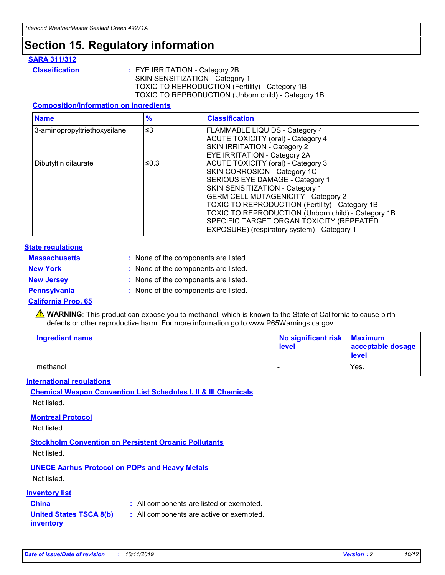### **Section 15. Regulatory information**

#### **SARA 311/312**

**Classification :** EYE IRRITATION - Category 2B SKIN SENSITIZATION - Category 1 TOXIC TO REPRODUCTION (Fertility) - Category 1B TOXIC TO REPRODUCTION (Unborn child) - Category 1B

#### **Composition/information on ingredients**

| <b>Name</b>                  | $\frac{9}{6}$ | <b>Classification</b>                                                                                            |
|------------------------------|---------------|------------------------------------------------------------------------------------------------------------------|
| 3-aminopropyltriethoxysilane | $\leq$ 3      | <b>FLAMMABLE LIQUIDS - Category 4</b><br><b>ACUTE TOXICITY (oral) - Category 4</b>                               |
|                              |               | SKIN IRRITATION - Category 2<br>EYE IRRITATION - Category 2A                                                     |
| Dibutyltin dilaurate         | ≤0.3          | ACUTE TOXICITY (oral) - Category 3<br>SKIN CORROSION - Category 1C                                               |
|                              |               | SERIOUS EYE DAMAGE - Category 1<br>SKIN SENSITIZATION - Category 1<br><b>GERM CELL MUTAGENICITY - Category 2</b> |
|                              |               | TOXIC TO REPRODUCTION (Fertility) - Category 1B<br>TOXIC TO REPRODUCTION (Unborn child) - Category 1B            |
|                              |               | SPECIFIC TARGET ORGAN TOXICITY (REPEATED<br>EXPOSURE) (respiratory system) - Category 1                          |

#### **State regulations**

| <b>Massachusetts</b> | : None of the components are listed. |
|----------------------|--------------------------------------|
| <b>New York</b>      | : None of the components are listed. |
| <b>New Jersey</b>    | : None of the components are listed. |
| Pennsylvania         | : None of the components are listed. |

#### **California Prop. 65**

**A** WARNING: This product can expose you to methanol, which is known to the State of California to cause birth defects or other reproductive harm. For more information go to www.P65Warnings.ca.gov.

| <b>Ingredient name</b> | No significant risk Maximum<br>level | acceptable dosage<br>level |
|------------------------|--------------------------------------|----------------------------|
| methanol               |                                      | Yes.                       |

#### **International regulations**

**Chemical Weapon Convention List Schedules I, II & III Chemicals** Not listed.

#### **Montreal Protocol**

Not listed.

**Stockholm Convention on Persistent Organic Pollutants**

Not listed.

### **UNECE Aarhus Protocol on POPs and Heavy Metals**

Not listed.

#### **Inventory list**

### **China :** All components are listed or exempted.

**United States TSCA 8(b) inventory :** All components are active or exempted.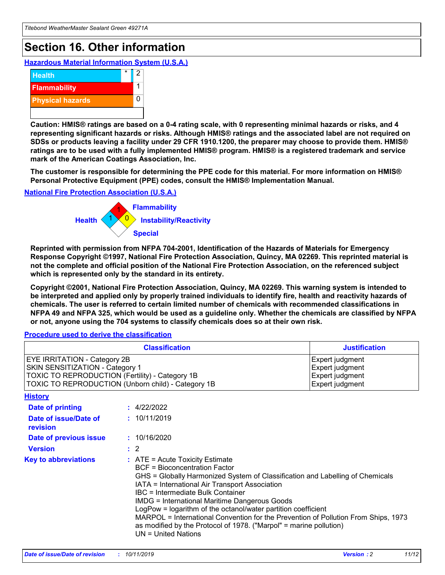## **Section 16. Other information**

**Hazardous Material Information System (U.S.A.)**



**Caution: HMIS® ratings are based on a 0-4 rating scale, with 0 representing minimal hazards or risks, and 4 representing significant hazards or risks. Although HMIS® ratings and the associated label are not required on SDSs or products leaving a facility under 29 CFR 1910.1200, the preparer may choose to provide them. HMIS® ratings are to be used with a fully implemented HMIS® program. HMIS® is a registered trademark and service mark of the American Coatings Association, Inc.**

**The customer is responsible for determining the PPE code for this material. For more information on HMIS® Personal Protective Equipment (PPE) codes, consult the HMIS® Implementation Manual.**

#### **National Fire Protection Association (U.S.A.)**



**Reprinted with permission from NFPA 704-2001, Identification of the Hazards of Materials for Emergency Response Copyright ©1997, National Fire Protection Association, Quincy, MA 02269. This reprinted material is not the complete and official position of the National Fire Protection Association, on the referenced subject which is represented only by the standard in its entirety.**

**Copyright ©2001, National Fire Protection Association, Quincy, MA 02269. This warning system is intended to be interpreted and applied only by properly trained individuals to identify fire, health and reactivity hazards of chemicals. The user is referred to certain limited number of chemicals with recommended classifications in NFPA 49 and NFPA 325, which would be used as a guideline only. Whether the chemicals are classified by NFPA or not, anyone using the 704 systems to classify chemicals does so at their own risk.**

#### **Procedure used to derive the classification**

|                                                                                                                                  | <b>Classification</b>                                                                                                                                                                                                                                                                                                                                                                                                                                                                                                                                                           | <b>Justification</b>                                                     |
|----------------------------------------------------------------------------------------------------------------------------------|---------------------------------------------------------------------------------------------------------------------------------------------------------------------------------------------------------------------------------------------------------------------------------------------------------------------------------------------------------------------------------------------------------------------------------------------------------------------------------------------------------------------------------------------------------------------------------|--------------------------------------------------------------------------|
| <b>EYE IRRITATION - Category 2B</b><br>SKIN SENSITIZATION - Category 1<br><b>TOXIC TO REPRODUCTION (Fertility) - Category 1B</b> | TOXIC TO REPRODUCTION (Unborn child) - Category 1B                                                                                                                                                                                                                                                                                                                                                                                                                                                                                                                              | Expert judgment<br>Expert judgment<br>Expert judgment<br>Expert judgment |
| <b>History</b>                                                                                                                   |                                                                                                                                                                                                                                                                                                                                                                                                                                                                                                                                                                                 |                                                                          |
| Date of printing                                                                                                                 | : 4/22/2022                                                                                                                                                                                                                                                                                                                                                                                                                                                                                                                                                                     |                                                                          |
| Date of issue/Date of<br>revision                                                                                                | : 10/11/2019                                                                                                                                                                                                                                                                                                                                                                                                                                                                                                                                                                    |                                                                          |
| Date of previous issue                                                                                                           | : 10/16/2020                                                                                                                                                                                                                                                                                                                                                                                                                                                                                                                                                                    |                                                                          |
| <b>Version</b>                                                                                                                   | $\therefore$ 2                                                                                                                                                                                                                                                                                                                                                                                                                                                                                                                                                                  |                                                                          |
| <b>Key to abbreviations</b>                                                                                                      | $\therefore$ ATE = Acute Toxicity Estimate<br><b>BCF</b> = Bioconcentration Factor<br>GHS = Globally Harmonized System of Classification and Labelling of Chemicals<br>IATA = International Air Transport Association<br><b>IBC</b> = Intermediate Bulk Container<br><b>IMDG = International Maritime Dangerous Goods</b><br>LogPow = logarithm of the octanol/water partition coefficient<br>MARPOL = International Convention for the Prevention of Pollution From Ships, 1973<br>as modified by the Protocol of 1978. ("Marpol" = marine pollution)<br>$UN = United Nations$ |                                                                          |